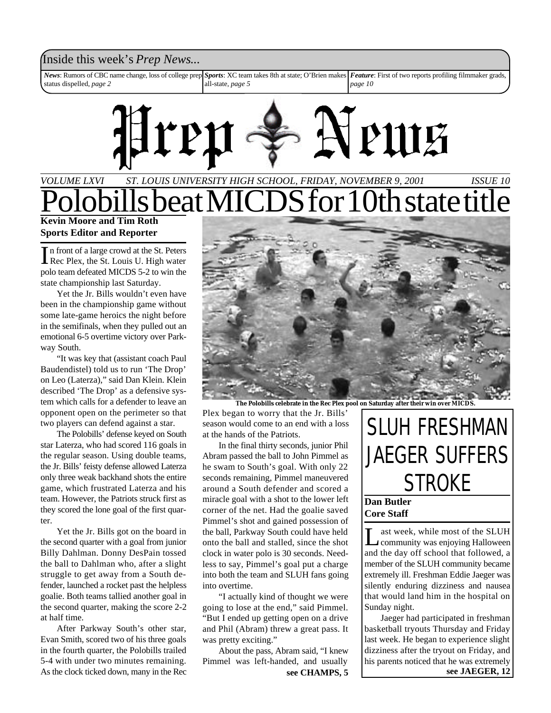### Inside this week's *Prep News*...

*News*: Rumors of CBC name change, loss of college prep status dispelled, *page 2 Sports*: XC team takes 8th at state; O'Brien makes all-state, *page 5 Feature*: First of two reports profiling filmmaker grads, *page 10*



### *ST. LOUIS UNIVERSITY HIGH SCHOOL, FRIDAY, NOVEMBER 9, 2001 VOLUME LXVI ISSUE 10* beat MICDS for 10th state titl **Kevin Moore and Tim Roth**

**Sports Editor and Reporter**

In front of a large crowd at the St. Peters<br>Rec Plex, the St. Louis U. High water n front of a large crowd at the St. Peters polo team defeated MICDS 5-2 to win the state championship last Saturday.

Yet the Jr. Bills wouldn't even have been in the championship game without some late-game heroics the night before in the semifinals, when they pulled out an emotional 6-5 overtime victory over Parkway South.

"It was key that (assistant coach Paul Baudendistel) told us to run 'The Drop' on Leo (Laterza)," said Dan Klein. Klein described 'The Drop' as a defensive system which calls for a defender to leave an opponent open on the perimeter so that two players can defend against a star.

The Polobills' defense keyed on South star Laterza, who had scored 116 goals in the regular season. Using double teams, the Jr. Bills' feisty defense allowed Laterza only three weak backhand shots the entire game, which frustrated Laterza and his team. However, the Patriots struck first as they scored the lone goal of the first quarter.

Yet the Jr. Bills got on the board in the second quarter with a goal from junior Billy Dahlman. Donny DesPain tossed the ball to Dahlman who, after a slight struggle to get away from a South defender, launched a rocket past the helpless goalie. Both teams tallied another goal in the second quarter, making the score 2-2 at half time.

After Parkway South's other star, Evan Smith, scored two of his three goals in the fourth quarter, the Polobills trailed 5-4 with under two minutes remaining. As the clock ticked down, many in the Rec see CHAMPS, 5



**The Polobills celebrate in the Rec Plex pool on Saturday after their win over MICDS.**

Plex began to worry that the Jr. Bills' season would come to an end with a loss at the hands of the Patriots.

In the final thirty seconds, junior Phil Abram passed the ball to John Pimmel as he swam to South's goal. With only 22 seconds remaining, Pimmel maneuvered around a South defender and scored a miracle goal with a shot to the lower left corner of the net. Had the goalie saved Pimmel's shot and gained possession of the ball, Parkway South could have held onto the ball and stalled, since the shot clock in water polo is 30 seconds. Needless to say, Pimmel's goal put a charge into both the team and SLUH fans going into overtime.

"I actually kind of thought we were going to lose at the end," said Pimmel. "But I ended up getting open on a drive and Phil (Abram) threw a great pass. It was pretty exciting."

About the pass, Abram said, "I knew Pimmel was left-handed, and usually

## SLUH FRESHMAN JAEGER SUFFERS STROKE

### **Dan Butler Core Staff**

L ast week, while most of the SLUH community was enjoying Halloween and the day off school that followed, a member of the SLUH community became extremely ill. Freshman Eddie Jaeger was silently enduring dizziness and nausea that would land him in the hospital on Sunday night.

Jaeger had participated in freshman basketball tryouts Thursday and Friday last week. He began to experience slight dizziness after the tryout on Friday, and his parents noticed that he was extremely **see JAEGER, 12**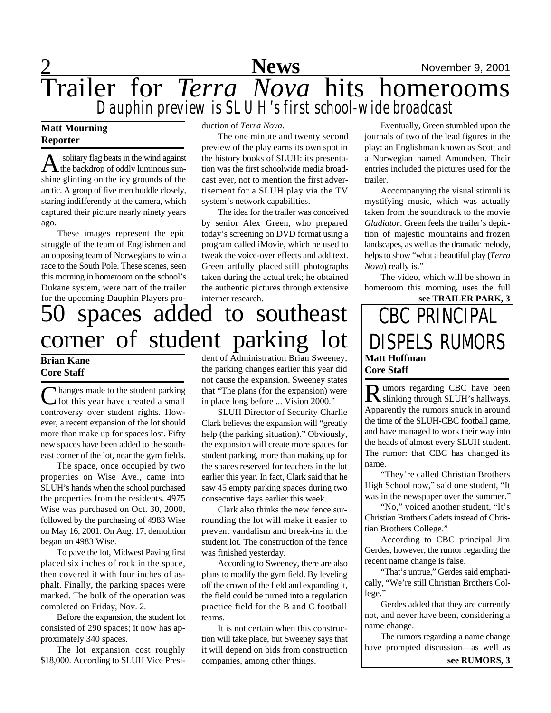## 2 **News** November 9, 2001 Trailer for *Terra Nova* hits homerooms *Dauphin preview is SLUH's first school-wide broadcast*

### **Matt Mourning Reporter**

A solitary flag beats in the wind against<br>the backdrop of oddly luminous sun solitary flag beats in the wind against shine glinting on the icy grounds of the arctic. A group of five men huddle closely, staring indifferently at the camera, which captured their picture nearly ninety years ago.

These images represent the epic struggle of the team of Englishmen and an opposing team of Norwegians to win a race to the South Pole. These scenes, seen this morning in homeroom on the school's Dukane system, were part of the trailer for the upcoming Dauphin Players production of *Terra Nova*.

The one minute and twenty second preview of the play earns its own spot in the history books of SLUH: its presentation was the first schoolwide media broadcast ever, not to mention the first advertisement for a SLUH play via the TV system's network capabilities.

The idea for the trailer was conceived by senior Alex Green, who prepared today's screening on DVD format using a program called iMovie, which he used to tweak the voice-over effects and add text. Green artfully placed still photographs taken during the actual trek; he obtained the authentic pictures through extensive internet research.

### 50 spaces added to southeast corner of student parking lot **Brian Kane Core Staff** dent of Administration Brian Sweeney,

C hanges made to the student parking<br>
U lot this year have created a small hanges made to the student parking controversy over student rights. However, a recent expansion of the lot should more than make up for spaces lost. Fifty new spaces have been added to the southeast corner of the lot, near the gym fields.

The space, once occupied by two properties on Wise Ave., came into SLUH's hands when the school purchased the properties from the residents. 4975 Wise was purchased on Oct. 30, 2000, followed by the purchasing of 4983 Wise on May 16, 2001. On Aug. 17, demolition began on 4983 Wise.

To pave the lot, Midwest Paving first placed six inches of rock in the space, then covered it with four inches of asphalt. Finally, the parking spaces were marked. The bulk of the operation was completed on Friday, Nov. 2.

Before the expansion, the student lot consisted of 290 spaces; it now has approximately 340 spaces.

The lot expansion cost roughly \$18,000. According to SLUH Vice Presithe parking changes earlier this year did not cause the expansion. Sweeney states that "The plans (for the expansion) were in place long before ... Vision 2000."

SLUH Director of Security Charlie Clark believes the expansion will "greatly help (the parking situation)." Obviously, the expansion will create more spaces for student parking, more than making up for the spaces reserved for teachers in the lot earlier this year. In fact, Clark said that he saw 45 empty parking spaces during two consecutive days earlier this week.

Clark also thinks the new fence surrounding the lot will make it easier to prevent vandalism and break-ins in the student lot. The construction of the fence was finished yesterday.

According to Sweeney, there are also plans to modify the gym field. By leveling off the crown of the field and expanding it, the field could be turned into a regulation practice field for the B and C football teams.

It is not certain when this construction will take place, but Sweeney says that it will depend on bids from construction companies, among other things.

Eventually, Green stumbled upon the journals of two of the lead figures in the play: an Englishman known as Scott and a Norwegian named Amundsen. Their entries included the pictures used for the trailer.

Accompanying the visual stimuli is mystifying music, which was actually taken from the soundtrack to the movie *Gladiator*. Green feels the trailer's depiction of majestic mountains and frozen landscapes, as well as the dramatic melody, helps to show "what a beautiful play (*Terra Nova*) really is."

The video, which will be shown in homeroom this morning, uses the full **see TRAILER PARK, 3**

## **Matt Hoffman Core Staff** CBC PRINCIPAL DISPELS RUMORS

Rumors regarding CBC have been **I** umors regarding CBC have been Apparently the rumors snuck in around the time of the SLUH-CBC football game, and have managed to work their way into the heads of almost every SLUH student. The rumor: that CBC has changed its name.

"They're called Christian Brothers High School now," said one student, "It was in the newspaper over the summer."

"No," voiced another student, "It's Christian Brothers Cadets instead of Christian Brothers College."

According to CBC principal Jim Gerdes, however, the rumor regarding the recent name change is false.

"That's untrue," Gerdes said emphatically, "We're still Christian Brothers College."

Gerdes added that they are currently not, and never have been, considering a name change.

The rumors regarding a name change have prompted discussion—as well as **see RUMORS, 3**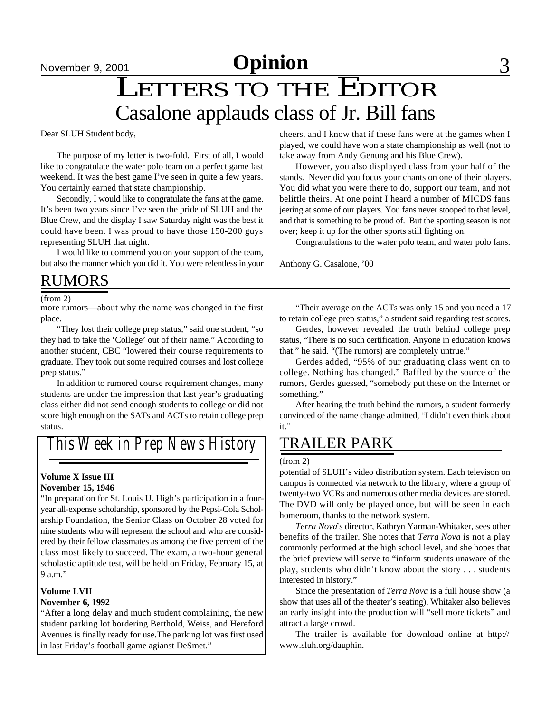# November 9, 2001 **Commer Commer Service Commer Service Commer Service Commer Service Commer Service Commer Service S**

## LETTERS TO THE EDITOR Casalone applauds class of Jr. Bill fans

Dear SLUH Student body,

The purpose of my letter is two-fold. First of all, I would like to congratulate the water polo team on a perfect game last weekend. It was the best game I've seen in quite a few years. You certainly earned that state championship.

Secondly, I would like to congratulate the fans at the game. It's been two years since I've seen the pride of SLUH and the Blue Crew, and the display I saw Saturday night was the best it could have been. I was proud to have those 150-200 guys representing SLUH that night.

I would like to commend you on your support of the team, but also the manner which you did it. You were relentless in your

### RUMORS

(from 2)

more rumors—about why the name was changed in the first place.

"They lost their college prep status," said one student, "so they had to take the 'College' out of their name." According to another student, CBC "lowered their course requirements to graduate. They took out some required courses and lost college prep status."

In addition to rumored course requirement changes, many students are under the impression that last year's graduating class either did not send enough students to college or did not score high enough on the SATs and ACTs to retain college prep status.

*This Week in Prep News History*

#### **Volume X Issue III November 15, 1946**

"In preparation for St. Louis U. High's participation in a fouryear all-expense scholarship, sponsored by the Pepsi-Cola Scholarship Foundation, the Senior Class on October 28 voted for nine students who will represent the school and who are considered by their fellow classmates as among the five percent of the class most likely to succeed. The exam, a two-hour general scholastic aptitude test, will be held on Friday, February 15, at 9 a.m."

#### **Volume LVII November 6, 1992**

"After a long delay and much student complaining, the new student parking lot bordering Berthold, Weiss, and Hereford Avenues is finally ready for use.The parking lot was first used in last Friday's football game agianst DeSmet."

cheers, and I know that if these fans were at the games when I played, we could have won a state championship as well (not to take away from Andy Genung and his Blue Crew).

However, you also displayed class from your half of the stands. Never did you focus your chants on one of their players. You did what you were there to do, support our team, and not belittle theirs. At one point I heard a number of MICDS fans jeering at some of our players. You fans never stooped to that level, and that is something to be proud of. But the sporting season is not over; keep it up for the other sports still fighting on.

Congratulations to the water polo team, and water polo fans.

Anthony G. Casalone, '00

"Their average on the ACTs was only 15 and you need a 17 to retain college prep status," a student said regarding test scores.

Gerdes, however revealed the truth behind college prep status, "There is no such certification. Anyone in education knows that," he said. "(The rumors) are completely untrue."

Gerdes added, "95% of our graduating class went on to college. Nothing has changed." Baffled by the source of the rumors, Gerdes guessed, "somebody put these on the Internet or something."

After hearing the truth behind the rumors, a student formerly convinced of the name change admitted, "I didn't even think about it."

## TRAILER PARK

#### (from 2)

potential of SLUH's video distribution system. Each televison on campus is connected via network to the library, where a group of twenty-two VCRs and numerous other media devices are stored. The DVD will only be played once, but will be seen in each homeroom, thanks to the network system.

*Terra Nova*'s director, Kathryn Yarman-Whitaker, sees other benefits of the trailer. She notes that *Terra Nova* is not a play commonly performed at the high school level, and she hopes that the brief preview will serve to "inform students unaware of the play, students who didn't know about the story . . . students interested in history."

Since the presentation of *Terra Nova* is a full house show (a show that uses all of the theater's seating), Whitaker also believes an early insight into the production will "sell more tickets" and attract a large crowd.

The trailer is available for download online at http:// www.sluh.org/dauphin.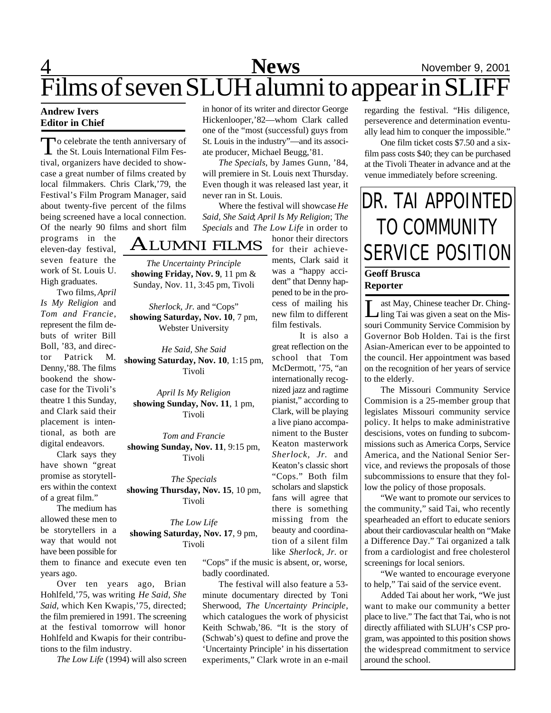## 4 **News** November 9, 2001 Films of seven SLUH alumni to appear in SLIFF

### **Andrew Ivers Editor in Chief**

To celebrate the tenth anniversary of<br>the St. Louis International Film Feso celebrate the tenth anniversary of tival, organizers have decided to showcase a great number of films created by local filmmakers. Chris Clark,'79, the Festival's Film Program Manager, said about twenty-five percent of the films being screened have a local connection. Of the nearly 90 films and short film

programs in the eleven-day festival, seven feature the work of St. Louis U. High graduates.

Two films, *April Is My Religion* and *Tom and Francie*, represent the film debuts of writer Bill Boll, '83, and director Patrick M. Denny,'88. The films bookend the showcase for the Tivoli's theatre 1 this Sunday, and Clark said their placement is intentional, as both are digital endeavors.

Clark says they have shown "great promise as storytellers within the context of a great film."

The medium has allowed these men to be storytellers in a way that would not have been possible for

them to finance and execute even ten years ago.

Over ten years ago, Brian Hohlfeld,'75, was writing *He Said, She Said*, which Ken Kwapis,'75, directed; the film premiered in 1991. The screening at the festival tomorrow will honor Hohlfeld and Kwapis for their contributions to the film industry.

*The Low Life* (1994) will also screen

in honor of its writer and director George Hickenlooper,'82—whom Clark called one of the "most (successful) guys from St. Louis in the industry"—and its associate producer, Michael Beugg,'81.

*The Specials*, by James Gunn, '84, will premiere in St. Louis next Thursday. Even though it was released last year, it never ran in St. Louis.

Where the festival will showcase *He Said, She Said*; *April Is My Religion*; T*he Specials* and *The Low Life* in order to

> honor their directors for their achievements, Clark said it was a "happy accident" that Denny happened to be in the process of mailing his new film to different film festivals.

> It is also a great reflection on the school that Tom McDermott, '75, "an internationally recog-

### ALUMNI FILMS

*The Uncertainty Principle* **showing Friday, Nov. 9**, 11 pm & Sunday, Nov. 11, 3:45 pm, Tivoli

*Sherlock, Jr.* and "Cops" **showing Saturday, Nov. 10**, 7 pm, Webster University

*He Said, She Said* **showing Saturday, Nov. 10**, 1:15 pm, Tivoli

*April Is My Religion* **showing Sunday, Nov. 11**, 1 pm, Tivoli

*Tom and Francie* **showing Sunday, Nov. 11**, 9:15 pm, Tivoli

*The Specials* **showing Thursday, Nov. 15**, 10 pm, Tivoli

*The Low Life* **showing Saturday, Nov. 17**, 9 pm, Tivoli

> "Cops" if the music is absent, or, worse, badly coordinated.

The festival will also feature a 53 minute documentary directed by Toni Sherwood, *The Uncertainty Principle*, which catalogues the work of physicist Keith Schwab,'86. "It is the story of (Schwab's) quest to define and prove the 'Uncertainty Principle' in his dissertation experiments," Clark wrote in an e-mail

regarding the festival. "His diligence, perseverence and determination eventually lead him to conquer the impossible."

One film ticket costs \$7.50 and a sixfilm pass costs \$40; they can be purchased at the Tivoli Theater in advance and at the venue immediately before screening.

## DR. TAI APPOINTED TO COMMUNITY SERVICE POSITION

### **Geoff Brusca Reporter**

Let May, Chinese teacher Dr. Ching-<br>ling Tai was given a seat on the Misast May, Chinese teacher Dr. Chingsouri Community Service Commision by Governor Bob Holden. Tai is the first Asian-American ever to be appointed to the council. Her appointment was based on the recognition of her years of service to the elderly.

The Missouri Community Service Commision is a 25-member group that legislates Missouri community service policy. It helps to make administrative descisions, votes on funding to subcommissions such as America Corps, Service America, and the National Senior Service, and reviews the proposals of those subcommissions to ensure that they follow the policy of those proposals.

"We want to promote our services to the community," said Tai, who recently spearheaded an effort to educate seniors about their cardiovascular health on "Make a Difference Day." Tai organized a talk from a cardiologist and free cholesterol screenings for local seniors.

"We wanted to encourage everyone to help," Tai said of the service event.

Added Tai about her work, "We just want to make our community a better place to live." The fact that Tai, who is not directly affiliated with SLUH's CSP program, was appointed to this position shows the widespread commitment to service around the school.

nized jazz and ragtime pianist," according to Clark, will be playing a live piano accompaniment to the Buster Keaton masterwork *Sherlock, Jr.* and Keaton's classic short "Cops." Both film scholars and slapstick fans will agree that there is something missing from the beauty and coordination of a silent film like *Sherlock, Jr.* or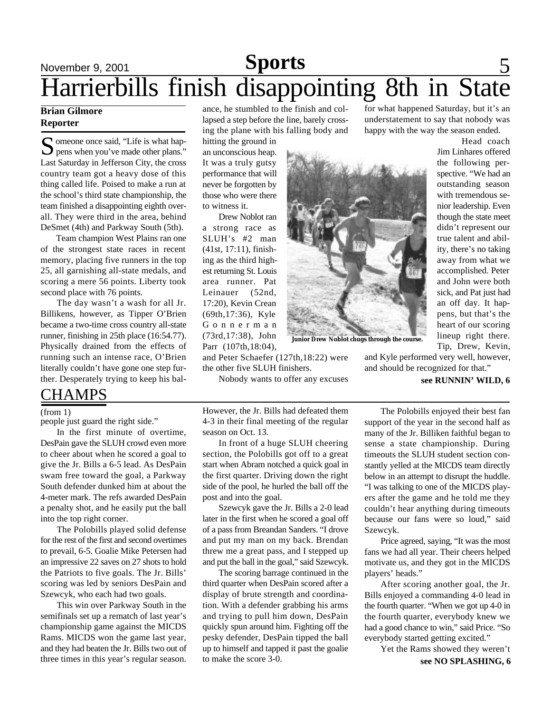## November 9, 2001 **Sports** 5 Harrierbills finish disappointing 8th in State **Sports**

### **Brian Gilmore Reporter**

S omeone once said, "Life is what happens when you've made other plans."  $\sum$  pens when you've made other plans." Last Saturday in Jefferson City, the cross country team got a heavy dose of this thing called life. Poised to make a run at the school's third state championship, the team finished a disappointing eighth overall. They were third in the area, behind DeSmet (4th) and Parkway South (5th).

Team champion West Plains ran one of the strongest state races in recent memory, placing five runners in the top 25, all garnishing all-state medals, and scoring a mere 56 points. Liberty took second place with 76 points.

The day wasn't a wash for all Jr. Billikens, however, as Tipper O'Brien became a two-time cross country all-state runner, finishing in 25th place (16:54.77). Physically drained from the effects of running such an intense race, O'Brien literally couldn't have gone one step further. Desperately trying to keep his bal-

### **CHAMPS**

(from 1)

people just guard the right side."

In the first minute of overtime, DesPain gave the SLUH crowd even more to cheer about when he scored a goal to give the Jr. Bills a 6-5 lead. As DesPain swam free toward the goal, a Parkway South defender dunked him at about the 4-meter mark. The refs awarded DesPain a penalty shot, and he easily put the ball into the top right corner.

The Polobills played solid defense for the rest of the first and second overtimes to prevail, 6-5. Goalie Mike Petersen had an impressive 22 saves on 27 shots to hold the Patriots to five goals. The Jr. Bills' scoring was led by seniors DesPain and Szewcyk, who each had two goals.

This win over Parkway South in the semifinals set up a rematch of last year's championship game against the MICDS Rams. MICDS won the game last year, and they had beaten the Jr. Bills two out of three times in this year's regular season.

ance, he stumbled to the finish and collapsed a step before the line, barely crossing the plane with his falling body and

hitting the ground in an unconscious heap. It was a truly gutsy performance that will never be forgotten by those who were there to witness it.

Drew Noblot ran a strong race as SLUH's #2 man (41st, 17:11), finishing as the third highest returning St. Louis area runner. Pat Leinauer (52nd, 17:20), Kevin Crean (69th,17:36), Kyle G o n n e r m a n (73rd,17:38), John Parr (107th,18:04),

**Junior Drew Noblot chugs through the course.**

for what happened Saturday, but it's an understatement to say that nobody was happy with the way the season ended.

Head coach Jim Linhares offered the following perspective. "We had an outstanding season with tremendous senior leadership. Even though the state meet didn't represent our true talent and ability, there's no taking away from what we accomplished. Peter and John were both sick, and Pat just had an off day. It happens, but that's the heart of our scoring lineup right there. Tip, Drew, Kevin,

and Kyle performed very well, however, and should be recognized for that."

### **see RUNNIN' WILD, 6**

However, the Jr. Bills had defeated them 4-3 in their final meeting of the regular season on Oct. 13.

and Peter Schaefer (127th,18:22) were

Nobody wants to offer any excuses

the other five SLUH finishers.

In front of a huge SLUH cheering section, the Polobills got off to a great start when Abram notched a quick goal in the first quarter. Driving down the right side of the pool, he hurled the ball off the post and into the goal.

Szewcyk gave the Jr. Bills a 2-0 lead later in the first when he scored a goal off of a pass from Breandan Sanders. "I drove and put my man on my back. Brendan threw me a great pass, and I stepped up and put the ball in the goal," said Szewcyk.

The scoring barrage continued in the third quarter when DesPain scored after a display of brute strength and coordination. With a defender grabbing his arms and trying to pull him down, DesPain quickly spun around him. Fighting off the pesky defender, DesPain tipped the ball up to himself and tapped it past the goalie to make the score 3-0.

The Polobills enjoyed their best fan support of the year in the second half as many of the Jr. Billiken faithful began to sense a state championship. During timeouts the SLUH student section constantly yelled at the MICDS team directly below in an attempt to disrupt the huddle. "I was talking to one of the MICDS players after the game and he told me they couldn't hear anything during timeouts because our fans were so loud," said Szewcyk.

Price agreed, saying, "It was the most fans we had all year. Their cheers helped motivate us, and they got in the MICDS players' heads."

After scoring another goal, the Jr. Bills enjoyed a commanding 4-0 lead in the fourth quarter. "When we got up 4-0 in the fourth quarter, everybody knew we had a good chance to win," said Price. "So everybody started getting excited."

Yet the Rams showed they weren't **see NO SPLASHING, 6**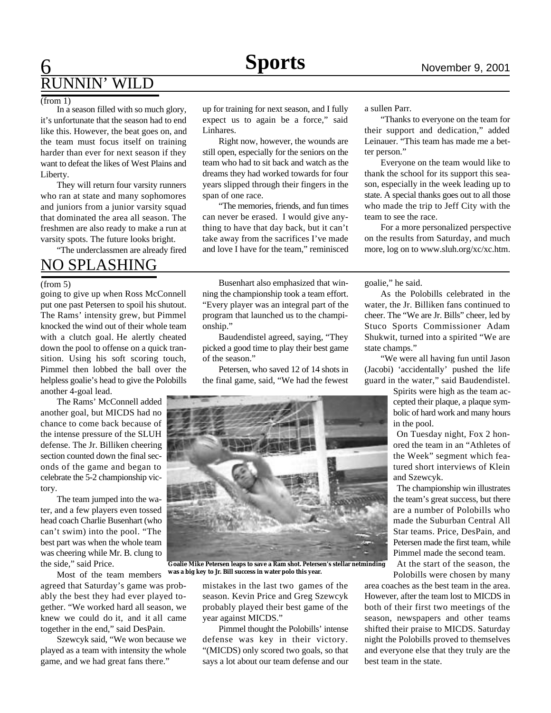## **6** November 9, 2001 RUNNIN' WILD

### $(from 1)$

In a season filled with so much glory, it's unfortunate that the season had to end like this. However, the beat goes on, and the team must focus itself on training harder than ever for next season if they want to defeat the likes of West Plains and Liberty.

They will return four varsity runners who ran at state and many sophomores and juniors from a junior varsity squad that dominated the area all season. The freshmen are also ready to make a run at varsity spots. The future looks bright.

"The underclassmen are already fired

## NO SPLASHING

#### (from 5)

going to give up when Ross McConnell put one past Petersen to spoil his shutout. The Rams' intensity grew, but Pimmel knocked the wind out of their whole team with a clutch goal. He alertly cheated down the pool to offense on a quick transition. Using his soft scoring touch, Pimmel then lobbed the ball over the helpless goalie's head to give the Polobills another 4-goal lead.

The Rams' McConnell added another goal, but MICDS had no chance to come back because of the intense pressure of the SLUH defense. The Jr. Billiken cheering section counted down the final seconds of the game and began to celebrate the 5-2 championship victory.

The team jumped into the water, and a few players even tossed head coach Charlie Busenhart (who can't swim) into the pool. "The best part was when the whole team was cheering while Mr. B. clung to the side," said Price.

Most of the team members

agreed that Saturday's game was probably the best they had ever played together. "We worked hard all season, we knew we could do it, and it all came together in the end," said DesPain.

Szewcyk said, "We won because we played as a team with intensity the whole game, and we had great fans there."

up for training for next season, and I fully expect us to again be a force," said Linhares.

Right now, however, the wounds are still open, especially for the seniors on the team who had to sit back and watch as the dreams they had worked towards for four years slipped through their fingers in the span of one race.

"The memories, friends, and fun times can never be erased. I would give anything to have that day back, but it can't take away from the sacrifices I've made and love I have for the team," reminisced

Busenhart also emphasized that winning the championship took a team effort. "Every player was an integral part of the program that launched us to the championship."

Baudendistel agreed, saying, "They picked a good time to play their best game of the season."

Petersen, who saved 12 of 14 shots in the final game, said, "We had the fewest



**Goalie Mike Petersen leaps to save a Ram shot. Petersen's stellar netminding was a big key to Jr. Bill success in water polo this year.**

mistakes in the last two games of the season. Kevin Price and Greg Szewcyk probably played their best game of the year against MICDS."

Pimmel thought the Polobills' intense defense was key in their victory. "(MICDS) only scored two goals, so that says a lot about our team defense and our

a sullen Parr.

"Thanks to everyone on the team for their support and dedication," added Leinauer. "This team has made me a better person."

Everyone on the team would like to thank the school for its support this season, especially in the week leading up to state. A special thanks goes out to all those who made the trip to Jeff City with the team to see the race.

For a more personalized perspective on the results from Saturday, and much more, log on to www.sluh.org/xc/xc.htm.

goalie," he said.

As the Polobills celebrated in the water, the Jr. Billiken fans continued to cheer. The "We are Jr. Bills" cheer, led by Stuco Sports Commissioner Adam Shukwit, turned into a spirited "We are state champs."

"We were all having fun until Jason (Jacobi) 'accidentally' pushed the life guard in the water," said Baudendistel.

> Spirits were high as the team accepted their plaque, a plaque symbolic of hard work and many hours in the pool.

> On Tuesday night, Fox 2 honored the team in an "Athletes of the Week" segment which featured short interviews of Klein and Szewcyk.

> The championship win illustrates the team's great success, but there are a number of Polobills who made the Suburban Central All Star teams. Price, DesPain, and Petersen made the first team, while Pimmel made the second team.

At the start of the season, the Polobills were chosen by many

area coaches as the best team in the area. However, after the team lost to MICDS in both of their first two meetings of the season, newspapers and other teams shifted their praise to MICDS. Saturday night the Polobills proved to themselves and everyone else that they truly are the best team in the state.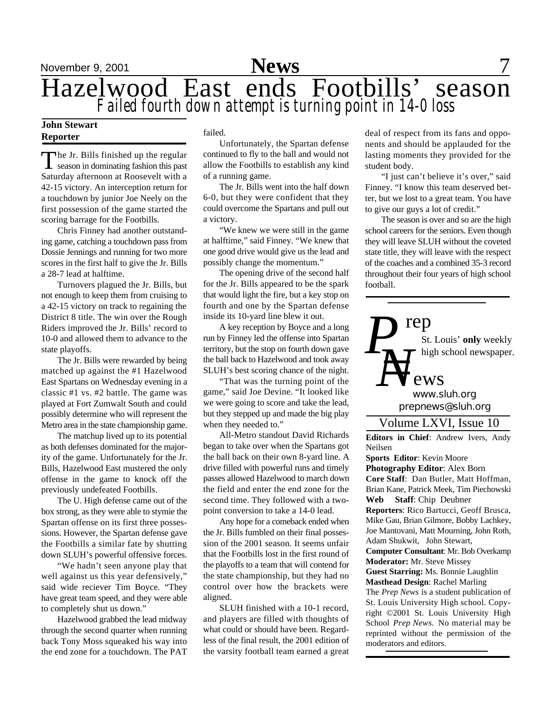

November 9, 2001 **News** 7 Hazelwood East ends Footbills' season *Failed fourth down attempt is turning point in 14-0 loss*

### **John Stewart Reporter**

The Jr. Bills finished up the regular<br>season in dominating fashion this past  $\blacksquare$  he Jr. Bills finished up the regular Saturday afternoon at Roosevelt with a 42-15 victory. An interception return for a touchdown by junior Joe Neely on the first possession of the game started the scoring barrage for the Footbills.

Chris Finney had another outstanding game, catching a touchdown pass from Dossie Jennings and running for two more scores in the first half to give the Jr. Bills a 28-7 lead at halftime.

Turnovers plagued the Jr. Bills, but not enough to keep them from cruising to a 42-15 victory on track to regaining the District 8 title. The win over the Rough Riders improved the Jr. Bills' record to 10-0 and allowed them to advance to the state playoffs.

The Jr. Bills were rewarded by being matched up against the #1 Hazelwood East Spartans on Wednesday evening in a classic #1 vs. #2 battle. The game was played at Fort Zumwalt South and could possibly determine who will represent the Metro area in the state championship game.

The matchup lived up to its potential as both defenses dominated for the majority of the game. Unfortunately for the Jr. Bills, Hazelwood East mustered the only offense in the game to knock off the previously undefeated Footbills.

The U. High defense came out of the box strong, as they were able to stymie the Spartan offense on its first three possessions. However, the Spartan defense gave the Footbills a similar fate by shutting down SLUH's powerful offensive forces.

"We hadn't seen anyone play that well against us this year defensively," said wide reciever Tim Boyce. "They have great team speed, and they were able to completely shut us down."

Hazelwood grabbed the lead midway through the second quarter when running back Tony Moss squeaked his way into the end zone for a touchdown. The PAT

failed.

Unfortunately, the Spartan defense continued to fly to the ball and would not allow the Footbills to establish any kind of a running game.

The Jr. Bills went into the half down 6-0, but they were confident that they could overcome the Spartans and pull out a victory.

"We knew we were still in the game at halftime," said Finney. "We knew that one good drive would give us the lead and possibly change the momentum."

The opening drive of the second half for the Jr. Bills appeared to be the spark that would light the fire, but a key stop on fourth and one by the Spartan defense inside its 10-yard line blew it out.

A key reception by Boyce and a long run by Finney led the offense into Spartan territory, but the stop on fourth down gave the ball back to Hazelwood and took away SLUH's best scoring chance of the night.

"That was the turning point of the game," said Joe Devine. "It looked like we were going to score and take the lead, but they stepped up and made the big play when they needed to."

All-Metro standout David Richards began to take over when the Spartans got the ball back on their own 8-yard line. A drive filled with powerful runs and timely passes allowed Hazelwood to march down the field and enter the end zone for the second time. They followed with a twopoint conversion to take a 14-0 lead.

Any hope for a comeback ended when the Jr. Bills fumbled on their final possession of the 2001 season. It seems unfair that the Footbills lost in the first round of the playoffs to a team that will contend for the state championship, but they had no control over how the brackets were aligned.

SLUH finished with a 10-1 record, and players are filled with thoughts of what could or should have been. Regardless of the final result, the 2001 edition of the varsity football team earned a great

deal of respect from its fans and opponents and should be applauded for the lasting moments they provided for the student body.

"I just can't believe it's over," said Finney. "I know this team deserved better, but we lost to a great team. You have to give our guys a lot of credit."

The season is over and so are the high school careers for the seniors. Even though they will leave SLUH without the coveted state title, they will leave with the respect of the coaches and a combined 35-3 record throughout their four years of high school football.



*prepnews@sluh.org www.sluh.org*

### Volume LXVI, Issue 10

**Editors in Chief**: Andrew Ivers, Andy Neilsen

**Sports Editor**: Kevin Moore **Photography Editor**: Alex Born **Core Staff**: Dan Butler, Matt Hoffman, Brian Kane, Patrick Meek, Tim Piechowski **Web Staff**: Chip Deubner **Reporters**: Rico Bartucci, Geoff Brusca, Mike Gau, Brian Gilmore, Bobby Lachkey, Joe Mantovani, Matt Mourning, John Roth, Adam Shukwit, John Stewart, **Computer Consultant**: Mr. Bob Overkamp **Moderator:** Mr. Steve Missey **Guest Starring:** Ms. Bonnie Laughlin **Masthead Design**: Rachel Marling The *Prep News* is a student publication of St. Louis University High school. Copyright ©2001 St. Louis University High School *Prep News.* No material may be reprinted without the permission of the moderators and editors.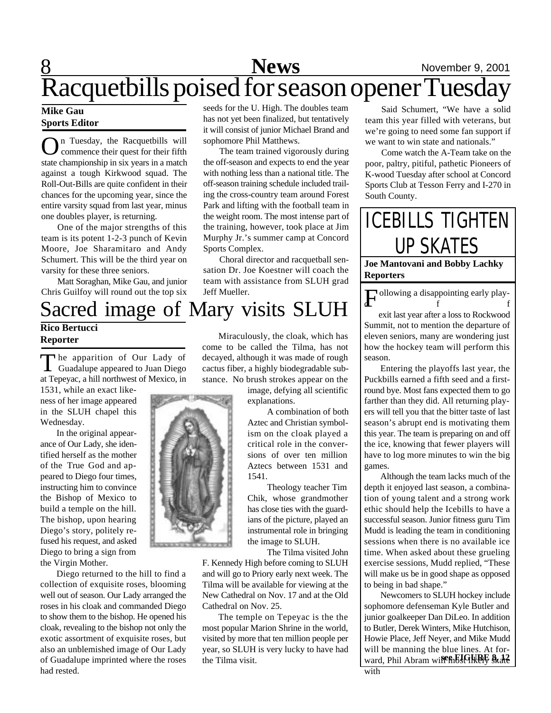## **8** News November 9, 2001 Racquetbills poised for season opener Tuesday

### **Mike Gau Sports Editor**

**Rico Bertucci Reporter**

Wednesday.

**O**n Tuesday, the Racquetbills will commence their quest for their fifth state championship in six years in a match n Tuesday, the Racquetbills will commence their quest for their fifth against a tough Kirkwood squad. The Roll-Out-Bills are quite confident in their chances for the upcoming year, since the entire varsity squad from last year, minus one doubles player, is returning.

One of the major strengths of this team is its potent 1-2-3 punch of Kevin Moore, Joe Sharamitaro and Andy Schumert. This will be the third year on varsity for these three seniors.

Matt Soraghan, Mike Gau, and junior Chris Guilfoy will round out the top six

The apparition of Our Lady of<br>Guadalupe appeared to Juan Diego Guadalupe appeared to Juan Diego at Tepeyac, a hill northwest of Mexico, in seeds for the U. High. The doubles team has not yet been finalized, but tentatively it will consist of junior Michael Brand and sophomore Phil Matthews.

The team trained vigorously during the off-season and expects to end the year with nothing less than a national title. The off-season training schedule included trailing the cross-country team around Forest Park and lifting with the football team in the weight room. The most intense part of the training, however, took place at Jim Murphy Jr.'s summer camp at Concord Sports Complex.

Choral director and racquetball sensation Dr. Joe Koestner will coach the team with assistance from SLUH grad Jeff Mueller.

Said Schumert, "We have a solid team this year filled with veterans, but we're going to need some fan support if we want to win state and nationals."

Come watch the A-Team take on the poor, paltry, pitiful, pathetic Pioneers of K-wood Tuesday after school at Concord Sports Club at Tesson Ferry and I-270 in South County.

ICEBILLS TIGHTEN UP SKATES

**Joe Mantovani and Bobby Lachky Reporters**

Following a disappointing early play- $\mathbf{d}$  f f exit last year after a loss to Rockwood Summit, not to mention the departure of eleven seniors, many are wondering just how the hockey team will perform this

season. Entering the playoffs last year, the Puckbills earned a fifth seed and a firstround bye. Most fans expected them to go farther than they did. All returning players will tell you that the bitter taste of last season's abrupt end is motivating them this year. The team is preparing on and off the ice, knowing that fewer players will have to log more minutes to win the big games.

Although the team lacks much of the depth it enjoyed last season, a combination of young talent and a strong work ethic should help the Icebills to have a successful season. Junior fitness guru Tim Mudd is leading the team in conditioning sessions when there is no available ice time. When asked about these grueling exercise sessions, Mudd replied, "These will make us be in good shape as opposed to being in bad shape."

Newcomers to SLUH hockey include sophomore defenseman Kyle Butler and junior goalkeeper Dan DiLeo. In addition to Butler, Derek Winters, Mike Hutchison, Howie Place, Jeff Neyer, and Mike Mudd will be manning the blue lines. At forward, Phil Abram will **find so likely** skate with



Sacred image of Mary visits SLUH

Miraculously, the cloak, which has come to be called the Tilma, has not decayed, although it was made of rough cactus fiber, a highly biodegradable substance. No brush strokes appear on the

image, defying all scientific explanations.

> A combination of both Aztec and Christian symbolism on the cloak played a critical role in the conversions of over ten million Aztecs between 1531 and 1541.

> Theology teacher Tim Chik, whose grandmother has close ties with the guardians of the picture, played an instrumental role in bringing the image to SLUH.

The Tilma visited John

F. Kennedy High before coming to SLUH and will go to Priory early next week. The Tilma will be available for viewing at the New Cathedral on Nov. 17 and at the Old Cathedral on Nov. 25.

The temple on Tepeyac is the the most popular Marion Shrine in the world, visited by more that ten million people per year, so SLUH is very lucky to have had the Tilma visit.

ness of her image appeared in the SLUH chapel this In the original appearance of Our Lady, she identified herself as the mother of the True God and appeared to Diego four times,

instructing him to convince the Bishop of Mexico to build a temple on the hill. The bishop, upon hearing Diego's story, politely refused his request, and asked Diego to bring a sign from the Virgin Mother.

1531, while an exact like-

Diego returned to the hill to find a collection of exquisite roses, blooming well out of season. Our Lady arranged the roses in his cloak and commanded Diego to show them to the bishop. He opened his cloak, revealing to the bishop not only the exotic assortment of exquisite roses, but also an unblemished image of Our Lady of Guadalupe imprinted where the roses had rested.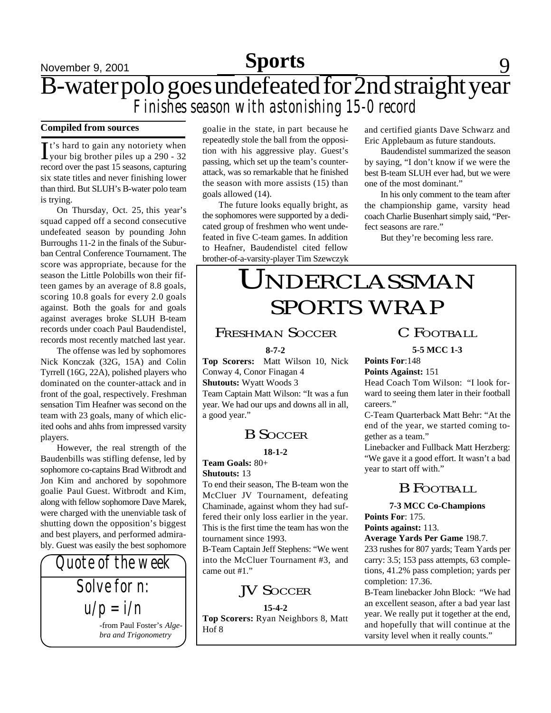## **Sports**

## November 9, 2001 **Feature 1 Sports** 9 B-water polo goes undefeated for 2nd straight year *Finishes season with astonishing 15-0 record*

### **Compiled from sources**

It's hard to gain any notoriety when<br>your big brother piles up a 290 - 32 It's hard to gain any notoriety when record over the past 15 seasons, capturing six state titles and never finishing lower than third. But SLUH's B-water polo team is trying.

On Thursday, Oct. 25, this year's squad capped off a second consecutive undefeated season by pounding John Burroughs 11-2 in the finals of the Suburban Central Conference Tournament. The score was appropriate, because for the season the Little Polobills won their fifteen games by an average of 8.8 goals, scoring 10.8 goals for every 2.0 goals against. Both the goals for and goals against averages broke SLUH B-team records under coach Paul Baudendistel, records most recently matched last year.

The offense was led by sophomores Nick Konczak (32G, 15A) and Colin Tyrrell (16G, 22A), polished players who dominated on the counter-attack and in front of the goal, respectively. Freshman sensation Tim Heafner was second on the team with 23 goals, many of which elicited oohs and ahhs from impressed varsity players.

However, the real strength of the Baudenbills was stifling defense, led by sophomore co-captains Brad Witbrodt and Jon Kim and anchored by sopohmore goalie Paul Guest. Witbrodt and Kim, along with fellow sophomore Dave Marek, were charged with the unenviable task of shutting down the opposition's biggest and best players, and performed admirably. Guest was easily the best sophomore

*Quote of the week Solve for n: u/p = i/n* -from Paul Foster's *Algebra and Trigonometry*

goalie in the state, in part because he repeatedly stole the ball from the opposition with his aggressive play. Guest's passing, which set up the team's counterattack, was so remarkable that he finished the season with more assists (15) than goals allowed (14).

The future looks equally bright, as the sophomores were supported by a dedicated group of freshmen who went undefeated in five C-team games. In addition to Heafner, Baudendistel cited fellow brother-of-a-varsity-player Tim Szewczyk

and certified giants Dave Schwarz and Eric Applebaum as future standouts.

Baudendistel summarized the season by saying, "I don't know if we were the best B-team SLUH ever had, but we were one of the most dominant."

In his only comment to the team after the championship game, varsity head coach Charlie Busenhart simply said, "Perfect seasons are rare."

But they're becoming less rare.

## UNDERCLASSMAN SPORTS WRAP

### FRESHMAN SOCCER

### **8-7-2**

**Top Scorers:** Matt Wilson 10, Nick Conway 4, Conor Finagan 4 **Shutouts:** Wyatt Woods 3 Team Captain Matt Wilson: "It was a fun year. We had our ups and downs all in all, a good year."

### B SOCCER

**18-1-2**

**Team Goals:** 80+ **Shutouts:** 13

To end their season, The B-team won the McCluer JV Tournament, defeating Chaminade, against whom they had suffered their only loss earlier in the year. This is the first time the team has won the tournament since 1993.

B-Team Captain Jeff Stephens: "We went into the McCluer Tournament #3, and came out #1."

### **JV SOCCER**

**15-4-2**

**Top Scorers:** Ryan Neighbors 8, Matt Hof 8

## C FOOTBALL

**5-5 MCC 1-3**

**Points For**:148 **Points Against:** 151

Head Coach Tom Wilson: "I look forward to seeing them later in their football careers."

C-Team Quarterback Matt Behr: "At the end of the year, we started coming together as a team."

Linebacker and Fullback Matt Herzberg: "We gave it a good effort. It wasn't a bad year to start off with."

### B FOOTBALL

**7-3 MCC Co-Champions Points For**: 175.

**Points against:** 113.

### **Average Yards Per Game** 198.7.

233 rushes for 807 yards; Team Yards per carry: 3.5; 153 pass attempts, 63 completions, 41.2% pass completion; yards per completion: 17.36.

B-Team linebacker John Block: "We had an excellent season, after a bad year last year. We really put it together at the end, and hopefully that will continue at the varsity level when it really counts."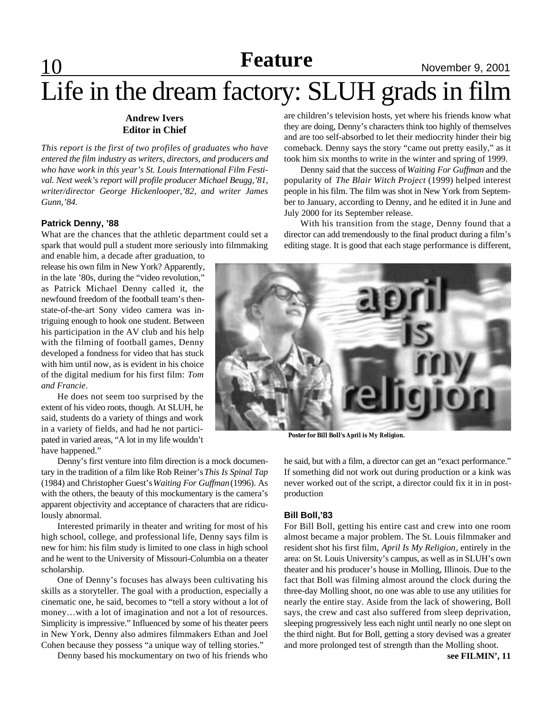### **10 Reature** November 9, 2001 **Feature**

# Life in the dream factory: SLUH grads in film

### **Andrew Ivers Editor in Chief**

*This report is the first of two profiles of graduates who have entered the film industry as writers, directors, and producers and who have work in this year's St. Louis International Film Festival. Next week's report will profile producer Michael Beugg,'81, writer/director George Hickenlooper,'82, and writer James Gunn,'84.*

### **Patrick Denny, '88**

What are the chances that the athletic department could set a spark that would pull a student more seriously into filmmaking

and enable him, a decade after graduation, to release his own film in New York? Apparently, in the late '80s, during the "video revolution," as Patrick Michael Denny called it, the newfound freedom of the football team's thenstate-of-the-art Sony video camera was intriguing enough to hook one student. Between his participation in the AV club and his help with the filming of football games, Denny developed a fondness for video that has stuck with him until now, as is evident in his choice of the digital medium for his first film: *Tom and Francie*.

He does not seem too surprised by the extent of his video roots, though. At SLUH, he said, students do a variety of things and work in a variety of fields, and had he not participated in varied areas, "A lot in my life wouldn't have happened."

Denny's first venture into film direction is a mock documentary in the tradition of a film like Rob Reiner's *This Is Spinal Tap* (1984) and Christopher Guest's *Waiting For Guffman* (1996). As with the others, the beauty of this mockumentary is the camera's apparent objectivity and acceptance of characters that are ridiculously abnormal.

Interested primarily in theater and writing for most of his high school, college, and professional life, Denny says film is new for him: his film study is limited to one class in high school and he went to the University of Missouri-Columbia on a theater scholarship.

One of Denny's focuses has always been cultivating his skills as a storyteller. The goal with a production, especially a cinematic one, he said, becomes to "tell a story without a lot of money…with a lot of imagination and not a lot of resources. Simplicity is impressive." Influenced by some of his theater peers in New York, Denny also admires filmmakers Ethan and Joel Cohen because they possess "a unique way of telling stories."

Denny based his mockumentary on two of his friends who

are children's television hosts, yet where his friends know what they are doing, Denny's characters think too highly of themselves and are too self-absorbed to let their mediocrity hinder their big comeback. Denny says the story "came out pretty easily," as it took him six months to write in the winter and spring of 1999.

Denny said that the success of *Waiting For Guffman* and the popularity of *The Blair Witch Project* (1999) helped interest people in his film. The film was shot in New York from September to January, according to Denny, and he edited it in June and July 2000 for its September release.

With his transition from the stage, Denny found that a director can add tremendously to the final product during a film's editing stage. It is good that each stage performance is different,



**Poster for Bill Boll's** *April is My Religion***.**

he said, but with a film, a director can get an "exact performance." If something did not work out during production or a kink was never worked out of the script, a director could fix it in in postproduction

#### **Bill Boll,'83**

For Bill Boll, getting his entire cast and crew into one room almost became a major problem. The St. Louis filmmaker and resident shot his first film, *April Is My Religion*, entirely in the area: on St. Louis University's campus, as well as in SLUH's own theater and his producer's house in Molling, Illinois. Due to the fact that Boll was filming almost around the clock during the three-day Molling shoot, no one was able to use any utilities for nearly the entire stay. Aside from the lack of showering, Boll says, the crew and cast also suffered from sleep deprivation, sleeping progressively less each night until nearly no one slept on the third night. But for Boll, getting a story devised was a greater and more prolonged test of strength than the Molling shoot.

**see FILMIN', 11**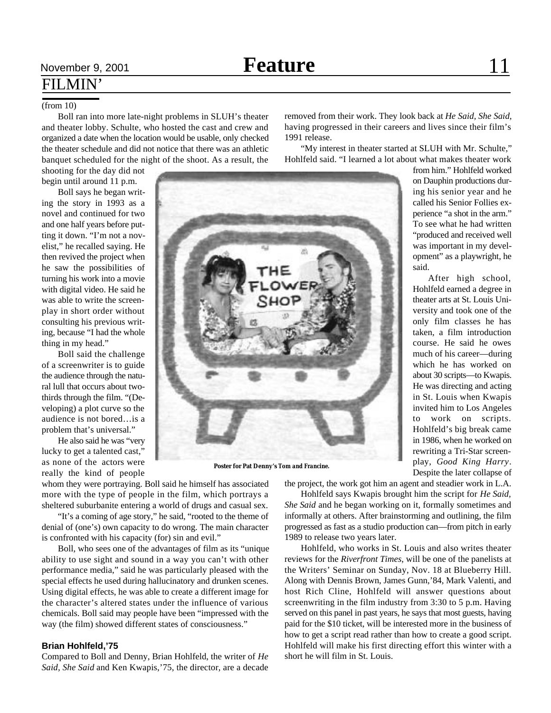### (from 10)

Boll ran into more late-night problems in SLUH's theater and theater lobby. Schulte, who hosted the cast and crew and organized a date when the location would be usable, only checked the theater schedule and did not notice that there was an athletic banquet scheduled for the night of the shoot. As a result, the

shooting for the day did not begin until around 11 p.m.

Boll says he began writing the story in 1993 as a novel and continued for two and one half years before putting it down. "I'm not a novelist," he recalled saying. He then revived the project when he saw the possibilities of turning his work into a movie with digital video. He said he was able to write the screenplay in short order without consulting his previous writing, because "I had the whole thing in my head."

Boll said the challenge of a screenwriter is to guide the audience through the natural lull that occurs about twothirds through the film. "(Developing) a plot curve so the audience is not bored…is a problem that's universal."

He also said he was "very lucky to get a talented cast," as none of the actors were really the kind of people

whom they were portraying. Boll said he himself has associated more with the type of people in the film, which portrays a sheltered suburbanite entering a world of drugs and casual sex.

"It's a coming of age story," he said, "rooted to the theme of denial of (one's) own capacity to do wrong. The main character is confronted with his capacity (for) sin and evil."

Boll, who sees one of the advantages of film as its "unique ability to use sight and sound in a way you can't with other performance media," said he was particularly pleased with the special effects he used during hallucinatory and drunken scenes. Using digital effects, he was able to create a different image for the character's altered states under the influence of various chemicals. Boll said may people have been "impressed with the way (the film) showed different states of consciousness."

### **Brian Hohlfeld,'75**

Compared to Boll and Denny, Brian Hohlfeld, the writer of *He Said, She Said* and Ken Kwapis,'75, the director, are a decade removed from their work. They look back at *He Said, She Said,* having progressed in their careers and lives since their film's 1991 release.

"My interest in theater started at SLUH with Mr. Schulte," Hohlfeld said. "I learned a lot about what makes theater work

from him." Hohlfeld worked on Dauphin productions during his senior year and he called his Senior Follies experience "a shot in the arm." To see what he had written "produced and received well was important in my development" as a playwright, he said.

After high school, Hohlfeld earned a degree in theater arts at St. Louis University and took one of the only film classes he has taken, a film introduction course. He said he owes much of his career—during which he has worked on about 30 scripts—to Kwapis. He was directing and acting in St. Louis when Kwapis invited him to Los Angeles to work on scripts. Hohlfeld's big break came in 1986, when he worked on rewriting a Tri-Star screenplay, *Good King Harry*. Despite the later collapse of

the project, the work got him an agent and steadier work in L.A.

Hohlfeld says Kwapis brought him the script for *He Said, She Said* and he began working on it, formally sometimes and informally at others. After brainstorming and outlining, the film progressed as fast as a studio production can—from pitch in early 1989 to release two years later.

Hohlfeld, who works in St. Louis and also writes theater reviews for the *Riverfront Times*, will be one of the panelists at the Writers' Seminar on Sunday, Nov. 18 at Blueberry Hill. Along with Dennis Brown, James Gunn,'84, Mark Valenti, and host Rich Cline, Hohlfeld will answer questions about screenwriting in the film industry from 3:30 to 5 p.m. Having served on this panel in past years, he says that most guests, having paid for the \$10 ticket, will be interested more in the business of how to get a script read rather than how to create a good script. Hohlfeld will make his first directing effort this winter with a short he will film in St. Louis.

**Poster for Pat Denny's** *Tom and Francine.*